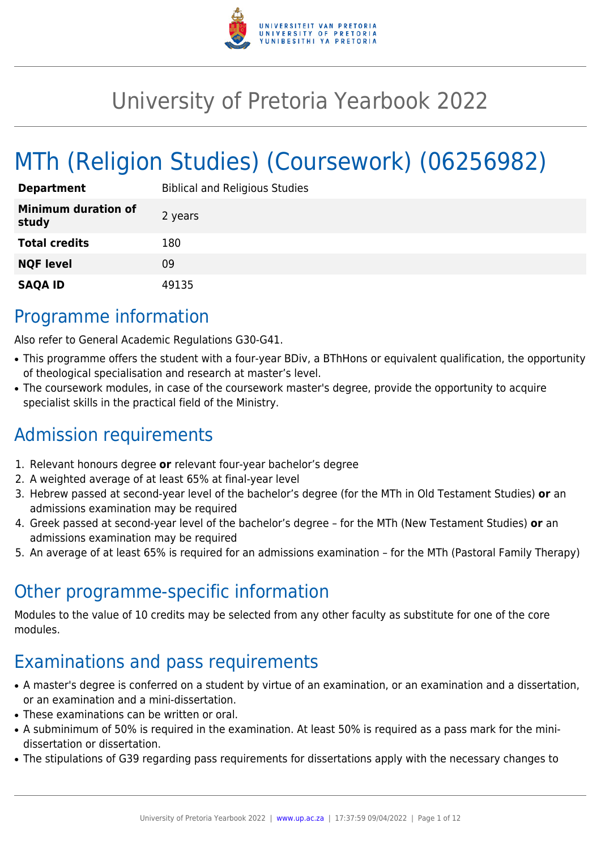

# University of Pretoria Yearbook 2022

# MTh (Religion Studies) (Coursework) (06256982)

| <b>Department</b>                   | <b>Biblical and Religious Studies</b> |
|-------------------------------------|---------------------------------------|
| <b>Minimum duration of</b><br>study | 2 years                               |
| <b>Total credits</b>                | 180                                   |
| <b>NQF level</b>                    | 09                                    |
| <b>SAQA ID</b>                      | 49135                                 |

# Programme information

Also refer to General Academic Regulations G30-G41.

- This programme offers the student with a four-year BDiv, a BThHons or equivalent qualification, the opportunity of theological specialisation and research at master's level.
- The coursework modules, in case of the coursework master's degree, provide the opportunity to acquire specialist skills in the practical field of the Ministry.

# Admission requirements

- 1. Relevant honours degree **or** relevant four-year bachelor's degree
- 2. A weighted average of at least 65% at final-year level
- 3. Hebrew passed at second-year level of the bachelor's degree (for the MTh in Old Testament Studies) **or** an admissions examination may be required
- 4. Greek passed at second-year level of the bachelor's degree for the MTh (New Testament Studies) **or** an admissions examination may be required
- 5. An average of at least 65% is required for an admissions examination for the MTh (Pastoral Family Therapy)

# Other programme-specific information

Modules to the value of 10 credits may be selected from any other faculty as substitute for one of the core modules.

# Examinations and pass requirements

- A master's degree is conferred on a student by virtue of an examination, or an examination and a dissertation, or an examination and a mini-dissertation.
- These examinations can be written or oral.
- A subminimum of 50% is required in the examination. At least 50% is required as a pass mark for the minidissertation or dissertation.
- The stipulations of G39 regarding pass requirements for dissertations apply with the necessary changes to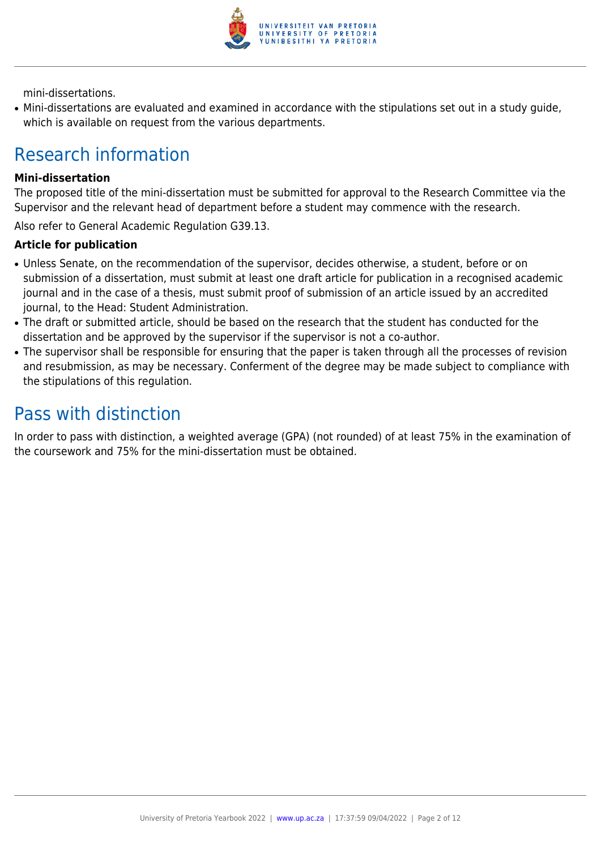

mini-dissertations.

● Mini-dissertations are evaluated and examined in accordance with the stipulations set out in a study guide, which is available on request from the various departments.

# Research information

#### **Mini-dissertation**

The proposed title of the mini-dissertation must be submitted for approval to the Research Committee via the Supervisor and the relevant head of department before a student may commence with the research.

Also refer to General Academic Regulation G39.13.

#### **Article for publication**

- Unless Senate, on the recommendation of the supervisor, decides otherwise, a student, before or on submission of a dissertation, must submit at least one draft article for publication in a recognised academic journal and in the case of a thesis, must submit proof of submission of an article issued by an accredited journal, to the Head: Student Administration.
- The draft or submitted article, should be based on the research that the student has conducted for the dissertation and be approved by the supervisor if the supervisor is not a co-author.
- The supervisor shall be responsible for ensuring that the paper is taken through all the processes of revision and resubmission, as may be necessary. Conferment of the degree may be made subject to compliance with the stipulations of this regulation.

# Pass with distinction

In order to pass with distinction, a weighted average (GPA) (not rounded) of at least 75% in the examination of the coursework and 75% for the mini-dissertation must be obtained.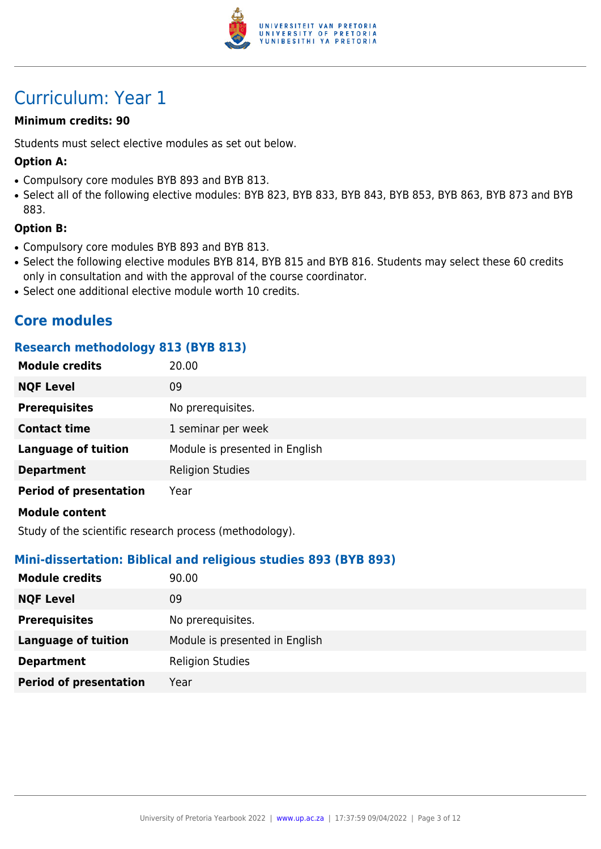

# Curriculum: Year 1

# **Minimum credits: 90**

Students must select elective modules as set out below.

# **Option A:**

- Compulsory core modules BYB 893 and BYB 813.
- Select all of the following elective modules: BYB 823, BYB 833, BYB 843, BYB 853, BYB 863, BYB 873 and BYB 883.

### **Option B:**

- Compulsory core modules BYB 893 and BYB 813.
- Select the following elective modules BYB 814, BYB 815 and BYB 816. Students may select these 60 credits only in consultation and with the approval of the course coordinator.
- Select one additional elective module worth 10 credits.

# **Core modules**

### **Research methodology 813 (BYB 813)**

| <b>Module credits</b>         | 20.00                          |
|-------------------------------|--------------------------------|
| <b>NQF Level</b>              | 09                             |
| <b>Prerequisites</b>          | No prerequisites.              |
| <b>Contact time</b>           | 1 seminar per week             |
| <b>Language of tuition</b>    | Module is presented in English |
| <b>Department</b>             | <b>Religion Studies</b>        |
| <b>Period of presentation</b> | Year                           |
| <b>Module content</b>         |                                |

Study of the scientific research process (methodology).

### **Mini-dissertation: Biblical and religious studies 893 (BYB 893)**

| <b>Module credits</b>         | 90.00                          |
|-------------------------------|--------------------------------|
| <b>NQF Level</b>              | 09                             |
| <b>Prerequisites</b>          | No prerequisites.              |
| <b>Language of tuition</b>    | Module is presented in English |
| <b>Department</b>             | <b>Religion Studies</b>        |
| <b>Period of presentation</b> | Year                           |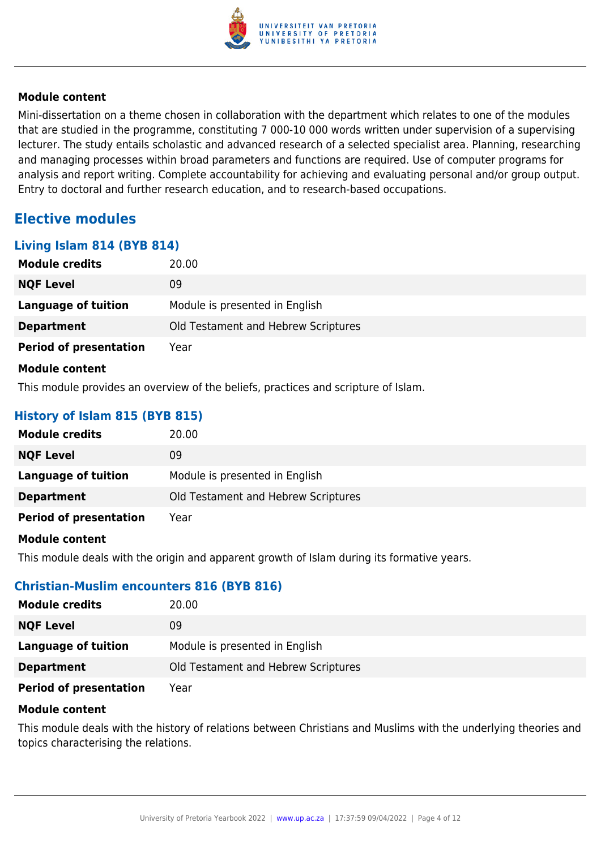

Mini-dissertation on a theme chosen in collaboration with the department which relates to one of the modules that are studied in the programme, constituting 7 000-10 000 words written under supervision of a supervising lecturer. The study entails scholastic and advanced research of a selected specialist area. Planning, researching and managing processes within broad parameters and functions are required. Use of computer programs for analysis and report writing. Complete accountability for achieving and evaluating personal and/or group output. Entry to doctoral and further research education, and to research-based occupations.

# **Elective modules**

**Living Islam 814 (BYB 814)**

| Living Islam 814 (BTB 814)    |                                     |
|-------------------------------|-------------------------------------|
| <b>Module credits</b>         | 20.00                               |
| <b>NQF Level</b>              | 09                                  |
| <b>Language of tuition</b>    | Module is presented in English      |
| <b>Department</b>             | Old Testament and Hebrew Scriptures |
| <b>Period of presentation</b> | Year                                |
| <b>Module content</b>         |                                     |

This module provides an overview of the beliefs, practices and scripture of Islam.

# **History of Islam 815 (BYB 815)**

| <b>Module credits</b>         | 20.00                               |
|-------------------------------|-------------------------------------|
| <b>NQF Level</b>              | 09                                  |
| Language of tuition           | Module is presented in English      |
| <b>Department</b>             | Old Testament and Hebrew Scriptures |
| <b>Period of presentation</b> | Year                                |

### **Module content**

This module deals with the origin and apparent growth of Islam during its formative years.

### **Christian-Muslim encounters 816 (BYB 816)**

| <b>Module credits</b>         | 20.00                               |
|-------------------------------|-------------------------------------|
| <b>NQF Level</b>              | 09                                  |
| <b>Language of tuition</b>    | Module is presented in English      |
| <b>Department</b>             | Old Testament and Hebrew Scriptures |
| <b>Period of presentation</b> | Year                                |

#### **Module content**

This module deals with the history of relations between Christians and Muslims with the underlying theories and topics characterising the relations.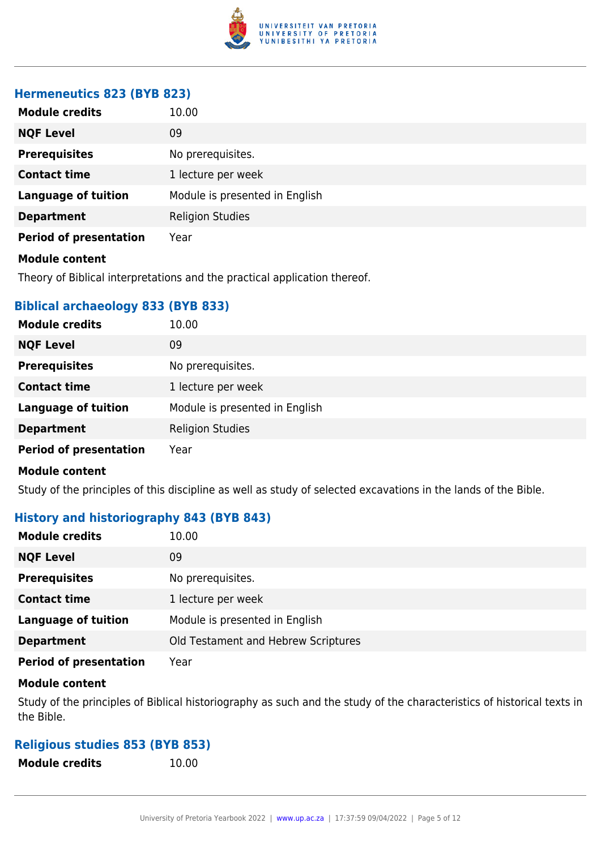

# **Hermeneutics 823 (BYB 823)**

| <b>Module credits</b>         | 10.00                          |
|-------------------------------|--------------------------------|
| <b>NQF Level</b>              | 09                             |
| <b>Prerequisites</b>          | No prerequisites.              |
| <b>Contact time</b>           | 1 lecture per week             |
| <b>Language of tuition</b>    | Module is presented in English |
| <b>Department</b>             | <b>Religion Studies</b>        |
| <b>Period of presentation</b> | Year                           |
| <b>Module content</b>         |                                |

Theory of Biblical interpretations and the practical application thereof.

# **Biblical archaeology 833 (BYB 833)**

| <b>Module credits</b>         | 10.00                          |
|-------------------------------|--------------------------------|
| <b>NQF Level</b>              | 09                             |
| <b>Prerequisites</b>          | No prerequisites.              |
| <b>Contact time</b>           | 1 lecture per week             |
| <b>Language of tuition</b>    | Module is presented in English |
| <b>Department</b>             | <b>Religion Studies</b>        |
| <b>Period of presentation</b> | Year                           |

# **Module content**

Study of the principles of this discipline as well as study of selected excavations in the lands of the Bible.

# **History and historiography 843 (BYB 843)**

| <b>Module credits</b>         | 10.00                               |
|-------------------------------|-------------------------------------|
| <b>NQF Level</b>              | 09                                  |
| <b>Prerequisites</b>          | No prerequisites.                   |
| <b>Contact time</b>           | 1 lecture per week                  |
| <b>Language of tuition</b>    | Module is presented in English      |
| <b>Department</b>             | Old Testament and Hebrew Scriptures |
| <b>Period of presentation</b> | Year                                |

#### **Module content**

Study of the principles of Biblical historiography as such and the study of the characteristics of historical texts in the Bible.

# **Religious studies 853 (BYB 853)**

**Module credits** 10.00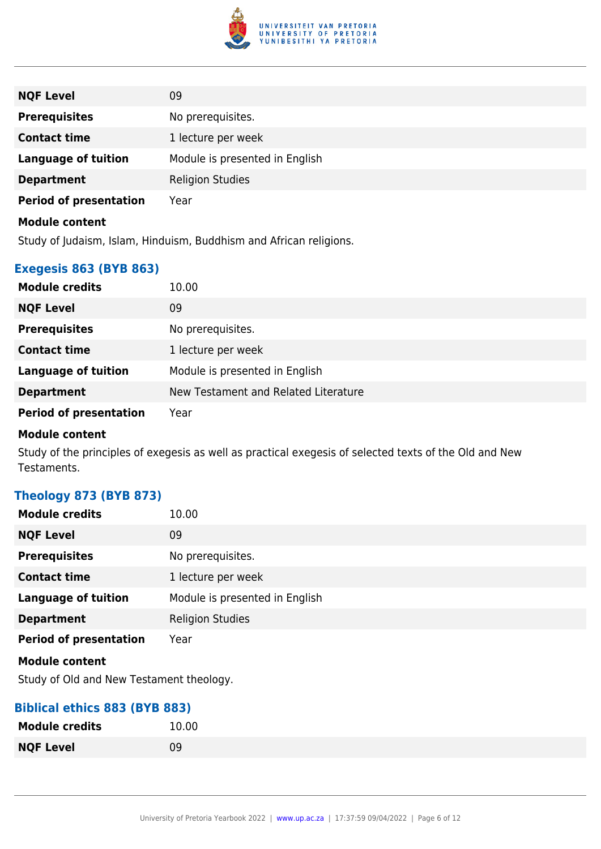

| <b>NQF Level</b>              | 09                             |
|-------------------------------|--------------------------------|
| <b>Prerequisites</b>          | No prerequisites.              |
| <b>Contact time</b>           | 1 lecture per week             |
| <b>Language of tuition</b>    | Module is presented in English |
| <b>Department</b>             | <b>Religion Studies</b>        |
| <b>Period of presentation</b> | Year                           |
| <b>Module content</b>         |                                |

Study of Judaism, Islam, Hinduism, Buddhism and African religions.

# **Exegesis 863 (BYB 863)**

| <b>Module credits</b>         | 10.00                                |
|-------------------------------|--------------------------------------|
| <b>NQF Level</b>              | 09                                   |
| <b>Prerequisites</b>          | No prerequisites.                    |
| <b>Contact time</b>           | 1 lecture per week                   |
| <b>Language of tuition</b>    | Module is presented in English       |
| <b>Department</b>             | New Testament and Related Literature |
| <b>Period of presentation</b> | Year                                 |

### **Module content**

Study of the principles of exegesis as well as practical exegesis of selected texts of the Old and New Testaments.

# **Theology 873 (BYB 873)**

| <b>Module credits</b>         | 10.00                          |
|-------------------------------|--------------------------------|
| <b>NQF Level</b>              | 09                             |
| <b>Prerequisites</b>          | No prerequisites.              |
| <b>Contact time</b>           | 1 lecture per week             |
| <b>Language of tuition</b>    | Module is presented in English |
| <b>Department</b>             | <b>Religion Studies</b>        |
| <b>Period of presentation</b> | Year                           |
| <b>Module content</b>         |                                |

Study of Old and New Testament theology.

# **Biblical ethics 883 (BYB 883)**

| <b>Module credits</b> | 10.00 |
|-----------------------|-------|
| <b>NQF Level</b>      | 09    |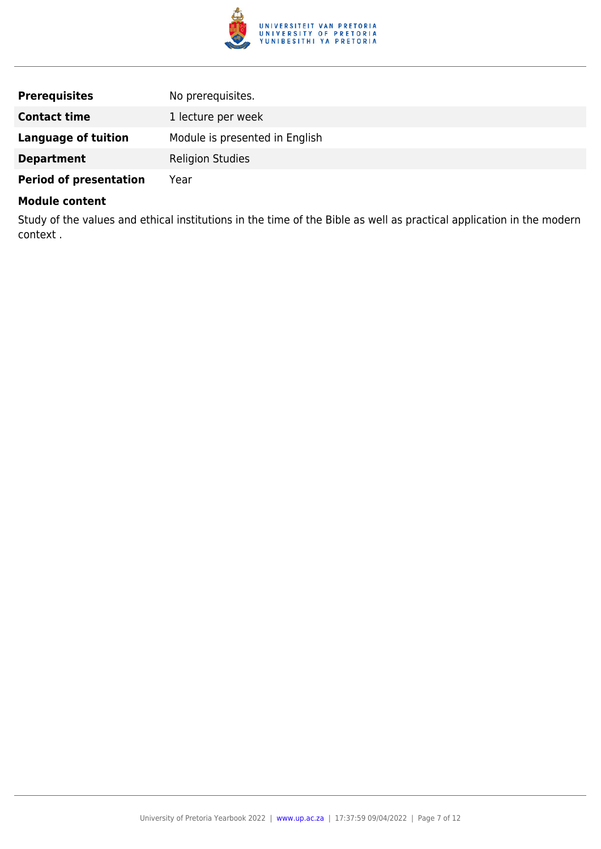

| <b>Prerequisites</b>          | No prerequisites.              |
|-------------------------------|--------------------------------|
| <b>Contact time</b>           | 1 lecture per week             |
| <b>Language of tuition</b>    | Module is presented in English |
| <b>Department</b>             | <b>Religion Studies</b>        |
| <b>Period of presentation</b> | Year                           |

Study of the values and ethical institutions in the time of the Bible as well as practical application in the modern context .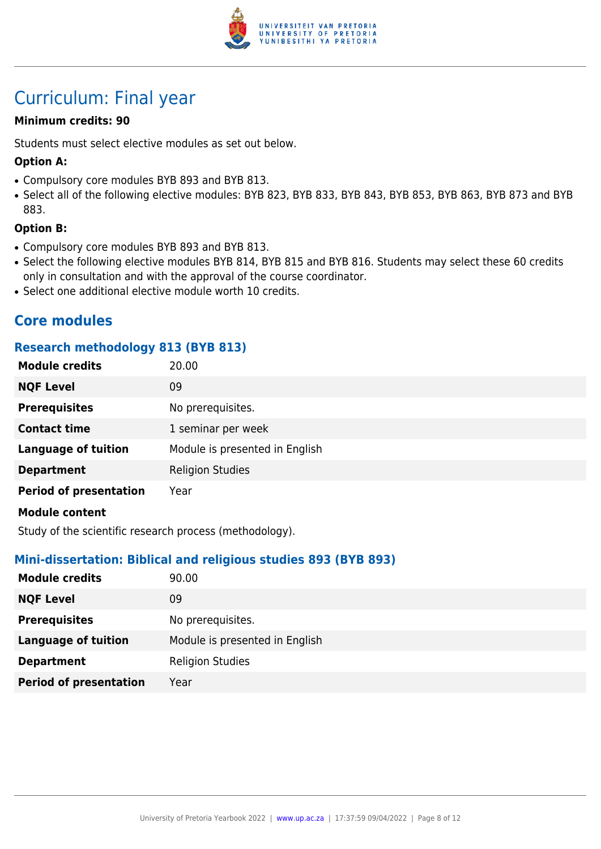

# Curriculum: Final year

# **Minimum credits: 90**

Students must select elective modules as set out below.

# **Option A:**

- Compulsory core modules BYB 893 and BYB 813.
- Select all of the following elective modules: BYB 823, BYB 833, BYB 843, BYB 853, BYB 863, BYB 873 and BYB 883.

### **Option B:**

- Compulsory core modules BYB 893 and BYB 813.
- Select the following elective modules BYB 814, BYB 815 and BYB 816. Students may select these 60 credits only in consultation and with the approval of the course coordinator.
- Select one additional elective module worth 10 credits.

# **Core modules**

### **Research methodology 813 (BYB 813)**

| <b>Module credits</b>         | 20.00                          |
|-------------------------------|--------------------------------|
| <b>NQF Level</b>              | 09                             |
| <b>Prerequisites</b>          | No prerequisites.              |
| <b>Contact time</b>           | 1 seminar per week             |
| <b>Language of tuition</b>    | Module is presented in English |
| <b>Department</b>             | <b>Religion Studies</b>        |
| <b>Period of presentation</b> | Year                           |
| <b>Module content</b>         |                                |

Study of the scientific research process (methodology).

### **Mini-dissertation: Biblical and religious studies 893 (BYB 893)**

| <b>Module credits</b>         | 90.00                          |
|-------------------------------|--------------------------------|
| <b>NQF Level</b>              | 09                             |
| <b>Prerequisites</b>          | No prerequisites.              |
| <b>Language of tuition</b>    | Module is presented in English |
| <b>Department</b>             | <b>Religion Studies</b>        |
| <b>Period of presentation</b> | Year                           |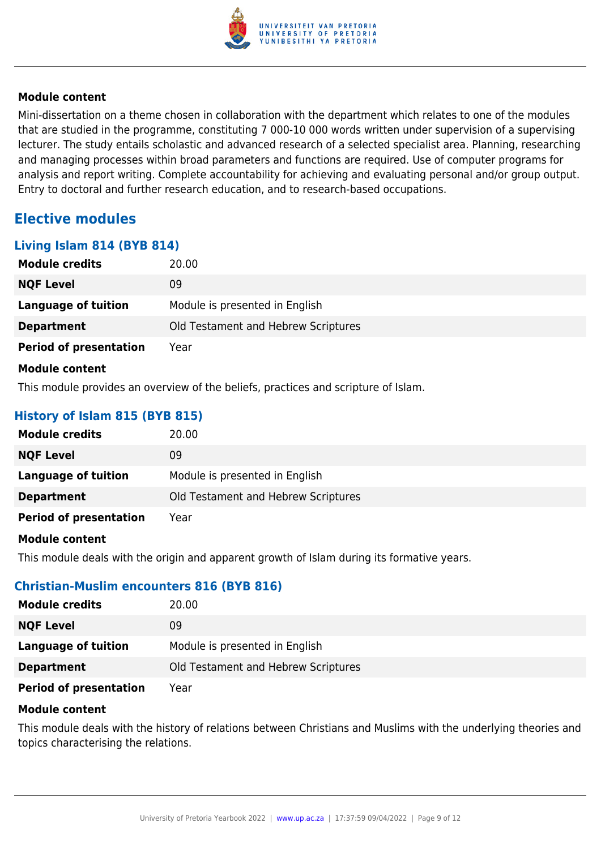

Mini-dissertation on a theme chosen in collaboration with the department which relates to one of the modules that are studied in the programme, constituting 7 000-10 000 words written under supervision of a supervising lecturer. The study entails scholastic and advanced research of a selected specialist area. Planning, researching and managing processes within broad parameters and functions are required. Use of computer programs for analysis and report writing. Complete accountability for achieving and evaluating personal and/or group output. Entry to doctoral and further research education, and to research-based occupations.

# **Elective modules**

**Living Islam 814 (BYB 814)**

| Living Islam 014 (DTD 014)    |                                     |
|-------------------------------|-------------------------------------|
| <b>Module credits</b>         | 20.00                               |
| <b>NQF Level</b>              | 09                                  |
| <b>Language of tuition</b>    | Module is presented in English      |
| <b>Department</b>             | Old Testament and Hebrew Scriptures |
| <b>Period of presentation</b> | Year                                |
| <b>Module content</b>         |                                     |

This module provides an overview of the beliefs, practices and scripture of Islam.

# **History of Islam 815 (BYB 815)**

| <b>Module credits</b>         | 20.00                               |
|-------------------------------|-------------------------------------|
| <b>NQF Level</b>              | 09                                  |
| Language of tuition           | Module is presented in English      |
| <b>Department</b>             | Old Testament and Hebrew Scriptures |
| <b>Period of presentation</b> | Year                                |

#### **Module content**

This module deals with the origin and apparent growth of Islam during its formative years.

### **Christian-Muslim encounters 816 (BYB 816)**

| <b>Module credits</b>         | 20.00                               |
|-------------------------------|-------------------------------------|
| <b>NQF Level</b>              | 09                                  |
| Language of tuition           | Module is presented in English      |
| <b>Department</b>             | Old Testament and Hebrew Scriptures |
| <b>Period of presentation</b> | Year                                |

#### **Module content**

This module deals with the history of relations between Christians and Muslims with the underlying theories and topics characterising the relations.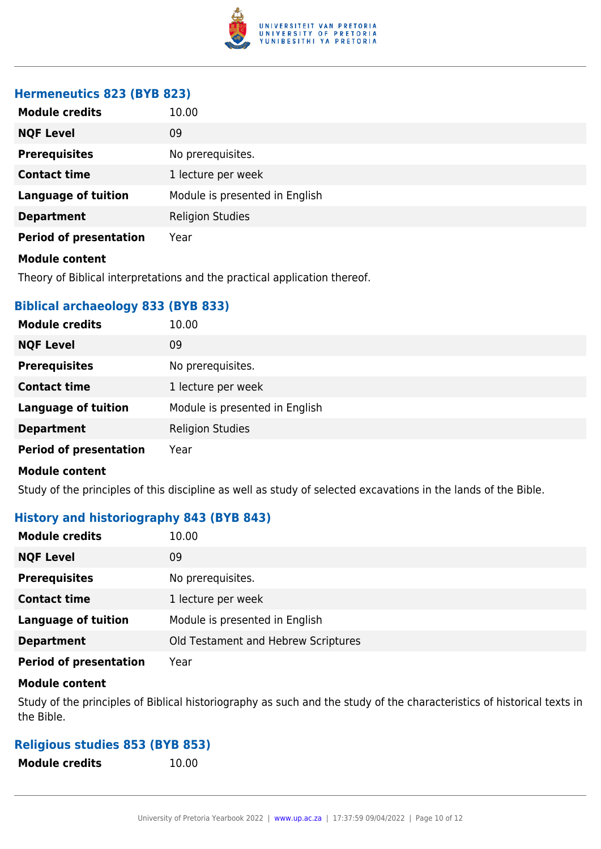

# **Hermeneutics 823 (BYB 823)**

| <b>Module credits</b>         | 10.00                          |
|-------------------------------|--------------------------------|
| <b>NQF Level</b>              | 09                             |
| <b>Prerequisites</b>          | No prerequisites.              |
| <b>Contact time</b>           | 1 lecture per week             |
| <b>Language of tuition</b>    | Module is presented in English |
| <b>Department</b>             | <b>Religion Studies</b>        |
| <b>Period of presentation</b> | Year                           |
| <b>Module content</b>         |                                |

Theory of Biblical interpretations and the practical application thereof.

# **Biblical archaeology 833 (BYB 833)**

| <b>Module credits</b>         | 10.00                          |
|-------------------------------|--------------------------------|
| <b>NQF Level</b>              | 09                             |
| <b>Prerequisites</b>          | No prerequisites.              |
| <b>Contact time</b>           | 1 lecture per week             |
| <b>Language of tuition</b>    | Module is presented in English |
| <b>Department</b>             | <b>Religion Studies</b>        |
| <b>Period of presentation</b> | Year                           |

# **Module content**

Study of the principles of this discipline as well as study of selected excavations in the lands of the Bible.

# **History and historiography 843 (BYB 843)**

| <b>Module credits</b>         | 10.00                               |
|-------------------------------|-------------------------------------|
| <b>NQF Level</b>              | 09                                  |
| <b>Prerequisites</b>          | No prerequisites.                   |
| <b>Contact time</b>           | 1 lecture per week                  |
| <b>Language of tuition</b>    | Module is presented in English      |
| <b>Department</b>             | Old Testament and Hebrew Scriptures |
| <b>Period of presentation</b> | Year                                |

#### **Module content**

Study of the principles of Biblical historiography as such and the study of the characteristics of historical texts in the Bible.

# **Religious studies 853 (BYB 853)**

**Module credits** 10.00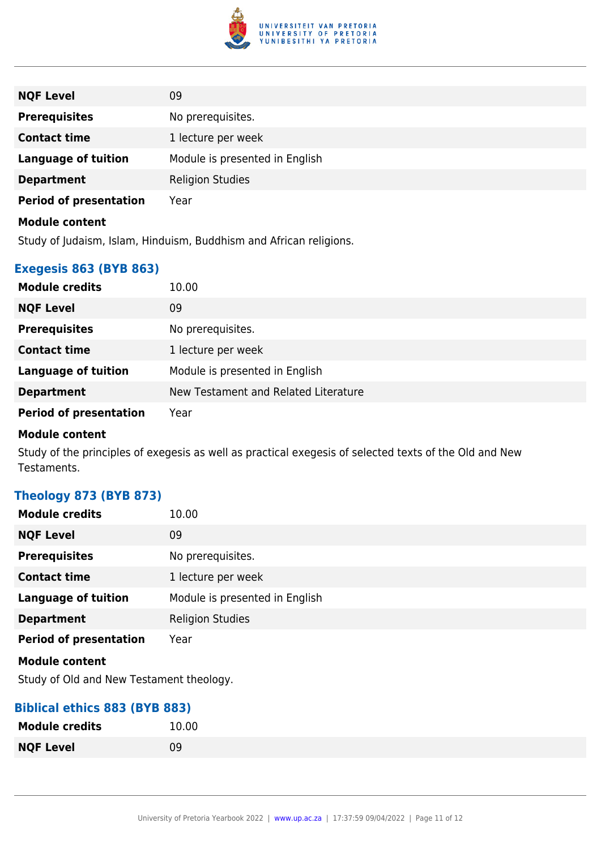

| <b>NQF Level</b>              | 09                             |
|-------------------------------|--------------------------------|
| <b>Prerequisites</b>          | No prerequisites.              |
| <b>Contact time</b>           | 1 lecture per week             |
| <b>Language of tuition</b>    | Module is presented in English |
| <b>Department</b>             | <b>Religion Studies</b>        |
| <b>Period of presentation</b> | Year                           |
| <b>Module content</b>         |                                |

Study of Judaism, Islam, Hinduism, Buddhism and African religions.

# **Exegesis 863 (BYB 863)**

| <b>Module credits</b>         | 10.00                                |
|-------------------------------|--------------------------------------|
| <b>NQF Level</b>              | 09                                   |
| <b>Prerequisites</b>          | No prerequisites.                    |
| <b>Contact time</b>           | 1 lecture per week                   |
| <b>Language of tuition</b>    | Module is presented in English       |
| <b>Department</b>             | New Testament and Related Literature |
| <b>Period of presentation</b> | Year                                 |

### **Module content**

Study of the principles of exegesis as well as practical exegesis of selected texts of the Old and New Testaments.

# **Theology 873 (BYB 873)**

| <b>Module credits</b>         | 10.00                          |
|-------------------------------|--------------------------------|
| <b>NQF Level</b>              | 09                             |
| <b>Prerequisites</b>          | No prerequisites.              |
| <b>Contact time</b>           | 1 lecture per week             |
| <b>Language of tuition</b>    | Module is presented in English |
| <b>Department</b>             | <b>Religion Studies</b>        |
| <b>Period of presentation</b> | Year                           |
| <b>Module content</b>         |                                |

Study of Old and New Testament theology.

# **Biblical ethics 883 (BYB 883)**

| <b>Module credits</b> | 10.00 |
|-----------------------|-------|
| <b>NQF Level</b>      | 09    |